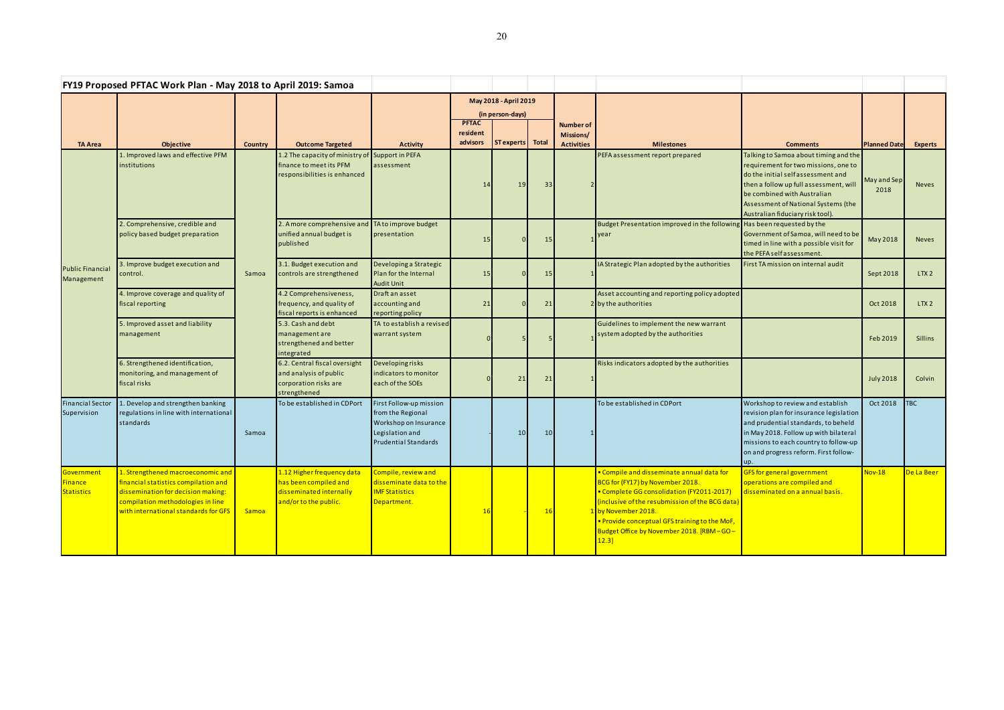| FY19 Proposed PFTAC Work Plan - May 2018 to April 2019: Samoa |                                                                                                                                                                                              |         |                                                                                                            |                                                                                                                  |                                           |                         |    |                                                           |                                                                                                                                                                                                                                                                                                                            |                                                                                                                                                                                                                                                                         |                     |                |
|---------------------------------------------------------------|----------------------------------------------------------------------------------------------------------------------------------------------------------------------------------------------|---------|------------------------------------------------------------------------------------------------------------|------------------------------------------------------------------------------------------------------------------|-------------------------------------------|-------------------------|----|-----------------------------------------------------------|----------------------------------------------------------------------------------------------------------------------------------------------------------------------------------------------------------------------------------------------------------------------------------------------------------------------------|-------------------------------------------------------------------------------------------------------------------------------------------------------------------------------------------------------------------------------------------------------------------------|---------------------|----------------|
|                                                               |                                                                                                                                                                                              |         |                                                                                                            |                                                                                                                  | May 2018 - April 2019<br>(in person-days) |                         |    |                                                           |                                                                                                                                                                                                                                                                                                                            |                                                                                                                                                                                                                                                                         |                     |                |
| <b>TA Area</b>                                                | Objective                                                                                                                                                                                    | Country | <b>Outcome Targeted</b>                                                                                    | <b>Activity</b>                                                                                                  | <b>PFTAC</b><br>resident<br>advisors      | <b>ST experts</b> Total |    | <b>Number of</b><br><b>Missions/</b><br><b>Activities</b> | <b>Milestones</b>                                                                                                                                                                                                                                                                                                          | <b>Comments</b>                                                                                                                                                                                                                                                         | <b>Planned Date</b> | <b>Experts</b> |
| <b>Public Financial</b><br>Management                         | 1. Improved laws and effective PFM<br>institutions                                                                                                                                           | Samoa   | 1.2 The capacity of ministry of Support in PEFA<br>finance to meet its PFM<br>responsibilities is enhanced | assessment                                                                                                       | 14                                        | 19                      | 33 |                                                           | PEFA assessment report prepared                                                                                                                                                                                                                                                                                            | Talking to Samoa about timing and the<br>requirement for two missions, one to<br>do the initial self assessment and<br>then a follow up full assessment, will<br>be combined with Australian<br>Assessment of National Systems (the<br>Australian fiduciary risk tool). | May and Sep<br>2018 | <b>Neves</b>   |
|                                                               | 2. Comprehensive, credible and<br>policy based budget preparation                                                                                                                            |         | 2. A more comprehensive and TA to improve budget<br>unified annual budget is<br>published                  | presentation                                                                                                     | 15                                        |                         | 15 |                                                           | Budget Presentation improved in the following Has been requested by the<br>year                                                                                                                                                                                                                                            | Government of Samoa, will need to be<br>timed in line with a possible visit for<br>the PEFA self assessment.                                                                                                                                                            | May 2018            | <b>Neves</b>   |
|                                                               | 3. Improve budget execution and<br>control.                                                                                                                                                  |         | 3.1. Budget execution and<br>controls are strengthened                                                     | Developing a Strategic<br>Plan for the Internal<br><b>Audit Unit</b>                                             | 15                                        |                         | 15 |                                                           | IA Strategic Plan adopted by the authorities                                                                                                                                                                                                                                                                               | First TA mission on internal audit                                                                                                                                                                                                                                      | Sept 2018           | LTX2           |
|                                                               | 4. Improve coverage and quality of<br>fiscal reporting                                                                                                                                       |         | 4.2 Comprehensiveness,<br>frequency, and quality of<br>fiscal reports is enhanced                          | Draft an asset<br>accounting and<br>reporting policy                                                             | 21                                        |                         | 21 |                                                           | Asset accounting and reporting policy adopted<br>2 by the authorities                                                                                                                                                                                                                                                      |                                                                                                                                                                                                                                                                         | Oct 2018            | LTX2           |
|                                                               | 5. Improved asset and liability<br>management                                                                                                                                                |         | 5.3. Cash and debt<br>management are<br>strengthened and better<br>lintegrated                             | TA to establish a revised<br>warrant system                                                                      |                                           |                         |    |                                                           | Guidelines to implement the new warrant<br>system adopted by the authorities                                                                                                                                                                                                                                               |                                                                                                                                                                                                                                                                         | Feb 2019            | <b>Sillins</b> |
|                                                               | 6. Strengthened identification,<br>monitoring, and management of<br>fiscal risks                                                                                                             |         | 6.2. Central fiscal oversight<br>and analysis of public<br>corporation risks are<br>strengthened           | Developing risks<br>indicators to monitor<br>each of the SOEs                                                    |                                           | 21                      | 21 |                                                           | Risks indicators adopted by the authorities                                                                                                                                                                                                                                                                                |                                                                                                                                                                                                                                                                         | <b>July 2018</b>    | Colvin         |
| <b>Financial Sector</b><br>Supervision                        | 1. Develop and strengthen banking<br>regulations in line with international<br>standards                                                                                                     | Samoa   | To be established in CDPort                                                                                | First Follow-up mission<br>from the Regional<br>Workshop on Insurance<br>Legislation and<br>Prudential Standards |                                           | 10 <sup>1</sup>         | 10 |                                                           | To be established in CDPort                                                                                                                                                                                                                                                                                                | Workshop to review and establish<br>revision plan for insurance legislation<br>and prudential standards, to beheld<br>in May 2018. Follow up with bilateral<br>missions to each country to follow-up<br>on and progress reform. First follow-<br>up.                    | Oct 2018            | <b>TBC</b>     |
| Government<br>Finance<br><b>Statistics</b>                    | 1. Strengthened macroeconomic and<br>financial statistics compilation and<br>dissemination for decision making:<br>compilation methodologies in line<br>with international standards for GFS | Samoa   | 1.12 Higher frequency data<br>has been compiled and<br>disseminated internally<br>and/or to the public.    | Compile, review and<br>disseminate data to the<br><b>IMF Statistics</b><br>Department.                           | 16                                        |                         | 16 |                                                           | . Compile and disseminate annual data for<br>BCG for (FY17) by November 2018.<br>• Complete GG consolidation (FY2011-2017)<br>(inclusive of the resubmission of the BCG data)<br>L <mark>by November 2018.</mark><br>. Provide conceptual GFS training to the MoF,<br>Budget Office by November 2018. [RBM-GO-<br>$12.3$ ] | GFS for general government<br>operations are compiled and<br>disseminated on a annual basis.                                                                                                                                                                            | <b>Nov-18</b>       | De La Beer     |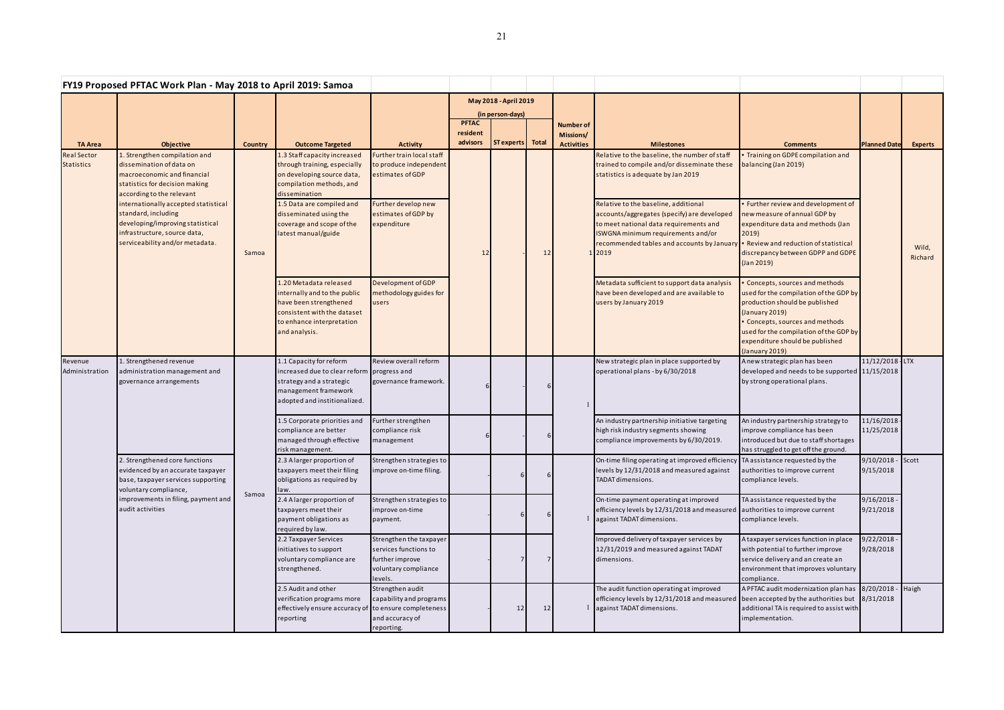| FY19 Proposed PFTAC Work Plan - May 2018 to April 2019: Samoa |                                                                                                                                                                                                                                                                                                                               |                |                                                                                                                                                                                                                                                    |                                                                                                                                      |                                      |                                                               |    |                                                    |                                                                                                                                                                                                                                                                                                                                                                     |                                                                                                                                                                                                                                                                             |                                                   |                  |
|---------------------------------------------------------------|-------------------------------------------------------------------------------------------------------------------------------------------------------------------------------------------------------------------------------------------------------------------------------------------------------------------------------|----------------|----------------------------------------------------------------------------------------------------------------------------------------------------------------------------------------------------------------------------------------------------|--------------------------------------------------------------------------------------------------------------------------------------|--------------------------------------|---------------------------------------------------------------|----|----------------------------------------------------|---------------------------------------------------------------------------------------------------------------------------------------------------------------------------------------------------------------------------------------------------------------------------------------------------------------------------------------------------------------------|-----------------------------------------------------------------------------------------------------------------------------------------------------------------------------------------------------------------------------------------------------------------------------|---------------------------------------------------|------------------|
| <b>TA Area</b>                                                | <b>Objective</b>                                                                                                                                                                                                                                                                                                              | <b>Country</b> | <b>Outcome Targeted</b>                                                                                                                                                                                                                            | <b>Activity</b>                                                                                                                      | <b>PFTAC</b><br>resident<br>advisors | May 2018 - April 2019<br>(in person-days)<br>ST experts Total |    | <b>Number of</b><br>Missions/<br><b>Activities</b> | <b>Milestones</b>                                                                                                                                                                                                                                                                                                                                                   | <b>Comments</b>                                                                                                                                                                                                                                                             | <b>Planned Date</b>                               | <b>Experts</b>   |
| <b>Real Sector</b><br><b>Statistics</b>                       | 1. Strengthen compilation and<br>dissemination of data on<br>macroeconomic and financial<br>statistics for decision making<br>according to the relevant<br>internationally accepted statistical<br>standard, including<br>developing/improving statistical<br>infrastructure, source data,<br>serviceability and/or metadata. | Samoa          | 1.3 Staff capacity increased<br>through training, especially<br>on developing source data,<br>compilation methods, and<br>dissemination<br>1.5 Data are compiled and<br>disseminated using the<br>coverage and scope of the<br>latest manual/guide | Further train local staff<br>to produce independent<br>estimates of GDP<br>Further develop new<br>estimates of GDP by<br>expenditure | 12                                   |                                                               | 12 |                                                    | Relative to the baseline, the number of staff<br>trained to compile and/or disseminate these<br>statistics is adequate by Jan 2019<br>Relative to the baseline, additional<br>accounts/aggregates (specify) are developed<br>to meet national data requirements and<br>ISWGNA minimum requirements and/or<br>recommended tables and accounts by January .<br>1 2019 | Training on GDPE compilation and<br>balancing (Jan 2019)<br>Further review and development of<br>new measure of annual GDP by<br>expenditure data and methods (Jan<br>2019)<br>Review and reduction of statistical<br>discrepancy between GDPP and GDPE<br>$($ Jan 2019 $)$ |                                                   | Wild,<br>Richard |
|                                                               |                                                                                                                                                                                                                                                                                                                               |                | 1.20 Metadata released<br>internally and to the public<br>have been strengthened<br>consistent with the dataset<br>to enhance interpretation<br>and analysis.                                                                                      | Development of GDP<br>methodology guides for<br>users                                                                                |                                      |                                                               |    |                                                    | Metadata sufficient to support data analysis<br>have been developed and are available to<br>users by January 2019                                                                                                                                                                                                                                                   | Concepts, sources and methods<br>used for the compilation of the GDP by<br>production should be published<br>(January 2019)<br>Concepts, sources and methods<br>used for the compilation of the GDP by<br>expenditure should be published<br>(January 2019)                 |                                                   |                  |
| Revenue<br>Administration                                     | 1. Strengthened revenue<br>administration management and<br>governance arrangements<br>2. Strengthened core functions<br>evidenced by an accurate taxpayer<br>base, taxpayer services supporting<br>voluntary compliance,<br>improvements in filing, payment and<br>audit activities                                          |                | 1.1 Capacity for reform<br>increased due to clear reform<br>strategy and a strategic<br>management framework<br>adopted and institionalized.                                                                                                       | Review overall reform<br>progress and<br>governance framework.                                                                       |                                      |                                                               |    |                                                    | New strategic plan in place supported by<br>operational plans - by 6/30/2018                                                                                                                                                                                                                                                                                        | A new strategic plan has been<br>developed and needs to be supported 11/15/2018<br>by strong operational plans.                                                                                                                                                             | 11/12/2018 LTX                                    |                  |
|                                                               |                                                                                                                                                                                                                                                                                                                               |                | 1.5 Corporate priorities and<br>compliance are better<br>managed through effective<br>risk management.                                                                                                                                             | Further strengthen<br>compliance risk<br>management                                                                                  |                                      |                                                               |    |                                                    | An industry partnership initiative targeting<br>high risk industry segments showing<br>compliance improvements by 6/30/2019.                                                                                                                                                                                                                                        | An industry partnership strategy to<br>improve compliance has been<br>introduced but due to staff shortages<br>has struggled to get off the ground.                                                                                                                         | 11/16/2018<br>11/25/2018                          |                  |
|                                                               |                                                                                                                                                                                                                                                                                                                               | Samoa          | 2.3 A larger proportion of<br>taxpayers meet their filing<br>obligations as required by<br>law.<br>2.4 Alarger proportion of                                                                                                                       | Strengthen strategies to<br>improve on-time filing.<br>Strengthen strategies to                                                      |                                      |                                                               |    |                                                    | On-time filing operating at improved efficiency TA assistance requested by the<br>levels by 12/31/2018 and measured against<br>TADAT dimensions.<br>On-time payment operating at improved                                                                                                                                                                           | authorities to improve current<br>compliance levels.<br>TA assistance requested by the                                                                                                                                                                                      | $9/10/2018 -$ Scott<br>9/15/2018<br>$9/16/2018 -$ |                  |
|                                                               |                                                                                                                                                                                                                                                                                                                               |                | taxpayers meet their<br>payment obligations as<br>required by law.                                                                                                                                                                                 | improve on-time<br>payment.                                                                                                          |                                      |                                                               |    |                                                    | efficiency levels by 12/31/2018 and measured authorities to improve current<br>against TADAT dimensions.                                                                                                                                                                                                                                                            | compliance levels.                                                                                                                                                                                                                                                          | 9/21/2018                                         |                  |
|                                                               |                                                                                                                                                                                                                                                                                                                               |                | 2.2 Taxpayer Services<br>initiatives to support<br>voluntary compliance are<br>strengthened.                                                                                                                                                       | Strengthen the taxpayer<br>services functions to<br>further improve<br>voluntary compliance<br>levels.                               |                                      |                                                               | 7  |                                                    | Improved delivery of taxpayer services by<br>12/31/2019 and measured against TADAT<br>dimensions.                                                                                                                                                                                                                                                                   | A taxpayer services function in place<br>with potential to further improve<br>service delivery and an create an<br>environment that improves voluntary<br>compliance.                                                                                                       | $9/22/2018 -$<br>9/28/2018                        |                  |
|                                                               |                                                                                                                                                                                                                                                                                                                               |                | 2.5 Audit and other<br>verification programs more<br>effectively ensure accuracy o<br>reporting                                                                                                                                                    | Strengthen audit<br>capability and programs<br>to ensure completeness<br>and accuracy of<br>reporting.                               |                                      | 12                                                            | 12 |                                                    | The audit function operating at improved<br>efficiency levels by 12/31/2018 and measured<br>against TADAT dimensions.                                                                                                                                                                                                                                               | A PFTAC audit modernization plan has 8/20/2018<br>been accepted by the authorities but 8/31/2018<br>additional TA is required to assist with<br>implementation.                                                                                                             |                                                   | Haigh            |